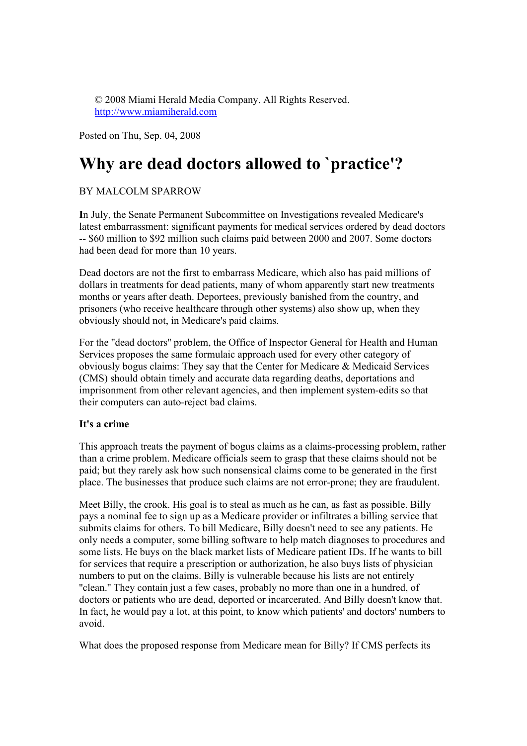© 2008 Miami Herald Media Company. All Rights Reserved. http://www.miamiherald.com

Posted on Thu, Sep. 04, 2008

# **Why are dead doctors allowed to `practice'?**

## BY MALCOLM SPARROW

**I**n July, the Senate Permanent Subcommittee on Investigations revealed Medicare's latest embarrassment: significant payments for medical services ordered by dead doctors -- \$60 million to \$92 million such claims paid between 2000 and 2007. Some doctors had been dead for more than 10 years.

Dead doctors are not the first to embarrass Medicare, which also has paid millions of dollars in treatments for dead patients, many of whom apparently start new treatments months or years after death. Deportees, previously banished from the country, and prisoners (who receive healthcare through other systems) also show up, when they obviously should not, in Medicare's paid claims.

For the ''dead doctors'' problem, the Office of Inspector General for Health and Human Services proposes the same formulaic approach used for every other category of obviously bogus claims: They say that the Center for Medicare & Medicaid Services (CMS) should obtain timely and accurate data regarding deaths, deportations and imprisonment from other relevant agencies, and then implement system-edits so that their computers can auto-reject bad claims.

## **It's a crime**

This approach treats the payment of bogus claims as a claims-processing problem, rather than a crime problem. Medicare officials seem to grasp that these claims should not be paid; but they rarely ask how such nonsensical claims come to be generated in the first place. The businesses that produce such claims are not error-prone; they are fraudulent.

Meet Billy, the crook. His goal is to steal as much as he can, as fast as possible. Billy pays a nominal fee to sign up as a Medicare provider or infiltrates a billing service that submits claims for others. To bill Medicare, Billy doesn't need to see any patients. He only needs a computer, some billing software to help match diagnoses to procedures and some lists. He buys on the black market lists of Medicare patient IDs. If he wants to bill for services that require a prescription or authorization, he also buys lists of physician numbers to put on the claims. Billy is vulnerable because his lists are not entirely ''clean.'' They contain just a few cases, probably no more than one in a hundred, of doctors or patients who are dead, deported or incarcerated. And Billy doesn't know that. In fact, he would pay a lot, at this point, to know which patients' and doctors' numbers to avoid.

What does the proposed response from Medicare mean for Billy? If CMS perfects its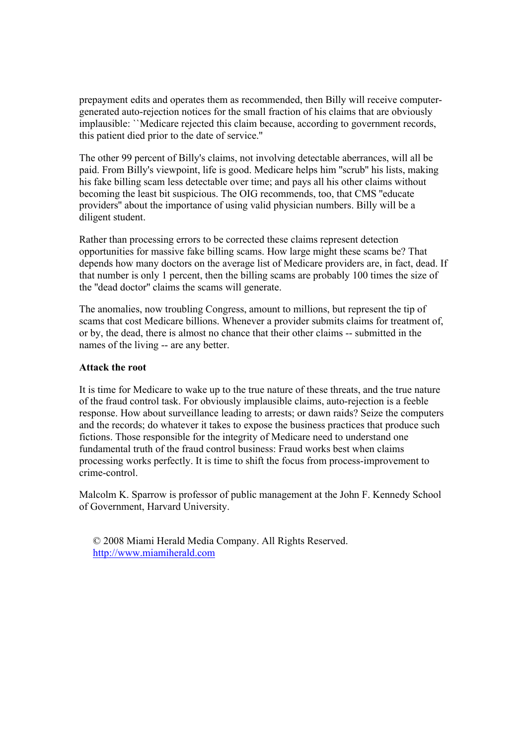prepayment edits and operates them as recommended, then Billy will receive computergenerated auto-rejection notices for the small fraction of his claims that are obviously implausible: ``Medicare rejected this claim because, according to government records, this patient died prior to the date of service.''

The other 99 percent of Billy's claims, not involving detectable aberrances, will all be paid. From Billy's viewpoint, life is good. Medicare helps him ''scrub'' his lists, making his fake billing scam less detectable over time; and pays all his other claims without becoming the least bit suspicious. The OIG recommends, too, that CMS ''educate providers'' about the importance of using valid physician numbers. Billy will be a diligent student.

Rather than processing errors to be corrected these claims represent detection opportunities for massive fake billing scams. How large might these scams be? That depends how many doctors on the average list of Medicare providers are, in fact, dead. If that number is only 1 percent, then the billing scams are probably 100 times the size of the ''dead doctor'' claims the scams will generate.

The anomalies, now troubling Congress, amount to millions, but represent the tip of scams that cost Medicare billions. Whenever a provider submits claims for treatment of, or by, the dead, there is almost no chance that their other claims -- submitted in the names of the living -- are any better.

#### **Attack the root**

It is time for Medicare to wake up to the true nature of these threats, and the true nature of the fraud control task. For obviously implausible claims, auto-rejection is a feeble response. How about surveillance leading to arrests; or dawn raids? Seize the computers and the records; do whatever it takes to expose the business practices that produce such fictions. Those responsible for the integrity of Medicare need to understand one fundamental truth of the fraud control business: Fraud works best when claims processing works perfectly. It is time to shift the focus from process-improvement to crime-control.

Malcolm K. Sparrow is professor of public management at the John F. Kennedy School of Government, Harvard University.

© 2008 Miami Herald Media Company. All Rights Reserved. http://www.miamiherald.com